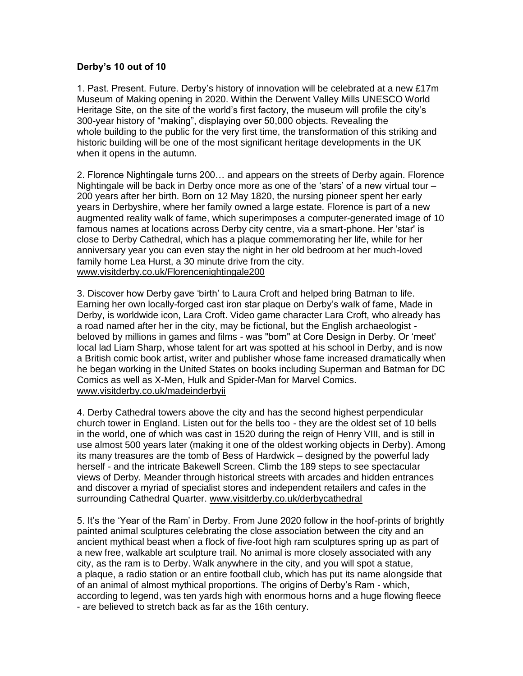## **Derby's 10 out of 10**

1. Past. Present. Future. Derby's history of innovation will be celebrated at a new £17m Museum of Making opening in 2020. Within the Derwent Valley Mills UNESCO World Heritage Site, on the site of the world's first factory, the museum will profile the city's 300-year history of "making", displaying over 50,000 objects. Revealing the whole building to the public for the very first time, the transformation of this striking and historic building will be one of the most significant heritage developments in the UK when it opens in the autumn.

2. Florence Nightingale turns 200… and appears on the streets of Derby again. Florence Nightingale will be back in Derby once more as one of the 'stars' of a new virtual tour – 200 years after her birth. Born on 12 May 1820, the nursing pioneer spent her early years in Derbyshire, where her family owned a large estate. Florence is part of a new augmented reality walk of fame, which superimposes a computer-generated image of 10 famous names at locations across Derby city centre, via a smart-phone. Her 'star' is close to Derby Cathedral, which has a plaque commemorating her life, while for her anniversary year you can even stay the night in her old bedroom at her much-loved family home Lea Hurst, a 30 minute drive from the city. [www.visitderby.co.uk/Florencenightingale200](http://www.visitderby.co.uk/Florencenightingale200) 

3. Discover how Derby gave 'birth' to Laura Croft and helped bring Batman to life. Earning her own locally-forged cast iron star plaque on Derby's walk of fame, Made in Derby, is worldwide icon, Lara Croft. Video game character Lara Croft, who already has a road named after her in the city, may be fictional, but the English archaeologist beloved by millions in games and films - was "born" at Core Design in Derby. Or 'meet' local lad Liam Sharp, whose talent for art was spotted at his school in Derby, and is now a British comic book artist, writer and publisher whose fame increased dramatically when he began working in the United States on books including Superman and Batman for DC Comics as well as X-Men, Hulk and Spider-Man for Marvel Comics. [www.visitderby.co.uk/madeinderbyii](http://www.visitderby.co.uk/madeinderbyii)

4. Derby Cathedral towers above the city and has the second highest perpendicular church tower in England. Listen out for the bells too - they are the oldest set of 10 bells in the world, one of which was cast in 1520 during the reign of Henry VIII, and is still in use almost 500 years later (making it one of the oldest working objects in Derby). Among its many treasures are the tomb of Bess of Hardwick – designed by the powerful lady herself - and the intricate Bakewell Screen. Climb the 189 steps to see spectacular views of Derby. Meander through historical streets with arcades and hidden entrances and discover a myriad of specialist stores and independent retailers and cafes in the surrounding Cathedral Quarter. [www.visitderby.co.uk/derbycathedral](http://www.visitderby.co.uk/derbycathedral)

5. It's the 'Year of the Ram' in Derby. From June 2020 follow in the hoof-prints of brightly painted animal sculptures celebrating the close association between the city and an ancient mythical beast when a flock of five-foot high ram sculptures spring up as part of a new free, walkable art sculpture trail. No animal is more closely associated with any city, as the ram is to Derby. Walk anywhere in the city, and you will spot a statue, a plaque, a radio station or an entire football club, which has put its name alongside that of an animal of almost mythical proportions. The origins of Derby's Ram - which, according to legend, was ten yards high with enormous horns and a huge flowing fleece - are believed to stretch back as far as the 16th century.